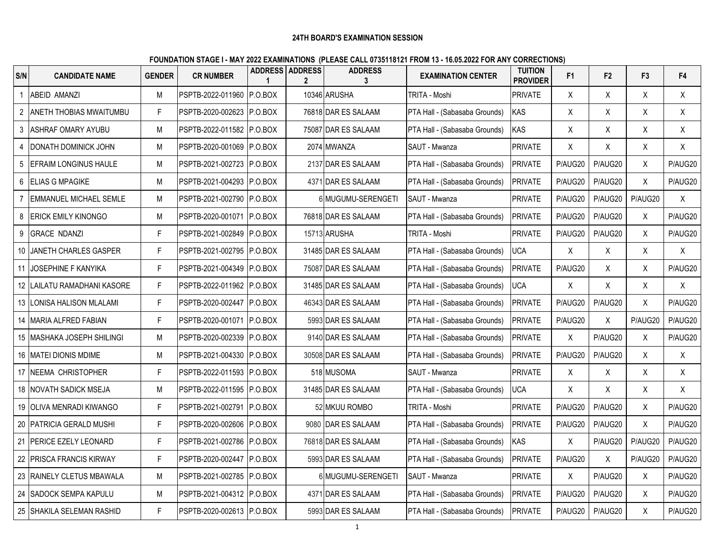## **24TH BOARD'S EXAMINATION SESSION**

## **FOUNDATION STAGE I - MAY 2022 EXAMINATIONS (PLEASE CALL 0735118121 FROM 13 - 16.05.2022 FOR ANY CORRECTIONS)**

| S/N            | <b>CANDIDATE NAME</b>         | <b>GENDER</b> | <b>CR NUMBER</b>            | ADDRESS ADDRESS | <b>ADDRESS</b><br>3 | <b>EXAMINATION CENTER</b>     | <b>TUITION</b><br><b>PROVIDER</b> | F <sub>1</sub> | F <sub>2</sub> | F <sub>3</sub> | F <sub>4</sub> |
|----------------|-------------------------------|---------------|-----------------------------|-----------------|---------------------|-------------------------------|-----------------------------------|----------------|----------------|----------------|----------------|
|                | ABEID AMANZI                  | M             | PSPTB-2022-011960 P.O.BOX   |                 | 10346 ARUSHA        | TRITA - Moshi                 | <b>PRIVATE</b>                    | X              | X              | X              | X              |
| $\overline{2}$ | ANETH THOBIAS MWAITUMBU       | F             | PSPTB-2020-002623 P.O.BOX   |                 | 76818 DAR ES SALAAM | PTA Hall - (Sabasaba Grounds) | <b>KAS</b>                        | X              | X              | X              | X              |
| 3              | <b>ASHRAF OMARY AYUBU</b>     | M             | PSPTB-2022-011582 P.O.BOX   |                 | 75087 DAR ES SALAAM | PTA Hall - (Sabasaba Grounds) | KAS                               | Χ              | Χ              | Χ              | X              |
| $\overline{4}$ | DONATH DOMINICK JOHN          | M             | PSPTB-2020-001069 P.O.BOX   |                 | 2074 MWANZA         | SAUT - Mwanza                 | <b>PRIVATE</b>                    | Χ              | X              | X              | X              |
| 5              | <b>EFRAIM LONGINUS HAULE</b>  | M             | PSPTB-2021-002723 P.O.BOX   |                 | 2137 DAR ES SALAAM  | PTA Hall - (Sabasaba Grounds) | PRIVATE                           | P/AUG20        | P/AUG20        | X              | P/AUG20        |
| 6              | ELIAS G MPAGIKE               | M             | PSPTB-2021-004293 P.O.BOX   |                 | 4371 DAR ES SALAAM  | PTA Hall - (Sabasaba Grounds) | PRIVATE                           | P/AUG20        | P/AUG20        | Χ              | P/AUG20        |
| $\overline{7}$ | <b>EMMANUEL MICHAEL SEMLE</b> | M             | PSPTB-2021-002790 P.O.BOX   |                 | 6 MUGUMU-SERENGETI  | SAUT - Mwanza                 | <b>PRIVATE</b>                    | P/AUG20        | P/AUG20        | P/AUG20        | X              |
| 8              | <b>ERICK EMILY KINONGO</b>    | M             | PSPTB-2020-001071 P.O.BOX   |                 | 76818 DAR ES SALAAM | PTA Hall - (Sabasaba Grounds) | PRIVATE                           | P/AUG20        | P/AUG20        | X              | P/AUG20        |
| 9              | <b>GRACE NDANZI</b>           | F.            | PSPTB-2021-002849 P.O.BOX   |                 | 15713 ARUSHA        | TRITA - Moshi                 | <b>PRIVATE</b>                    | P/AUG20        | P/AUG20        | X              | P/AUG20        |
| 10             | JANETH CHARLES GASPER         | F             | PSPTB-2021-002795 P.O.BOX   |                 | 31485 DAR ES SALAAM | PTA Hall - (Sabasaba Grounds) | <b>UCA</b>                        | X              | X              | X              | X              |
| 11             | <b>JOSEPHINE F KANYIKA</b>    | F             | PSPTB-2021-004349 P.O.BOX   |                 | 75087 DAR ES SALAAM | PTA Hall - (Sabasaba Grounds) | <b>PRIVATE</b>                    | P/AUG20        | X              | Χ              | P/AUG20        |
| 12             | LAILATU RAMADHANI KASORE      | F.            | PSPTB-2022-011962 P.O.BOX   |                 | 31485 DAR ES SALAAM | PTA Hall - (Sabasaba Grounds) | <b>UCA</b>                        | Χ              | Χ              | Χ              | X              |
| 13             | LONISA HALISON MLALAMI        | F             | PSPTB-2020-002447 P.O.BOX   |                 | 46343 DAR ES SALAAM | PTA Hall - (Sabasaba Grounds) | PRIVATE                           | P/AUG20        | P/AUG20        | X              | P/AUG20        |
|                | 14 MARIA ALFRED FABIAN        | F             | PSPTB-2020-001071 P.O.BOX   |                 | 5993 DAR ES SALAAM  | PTA Hall - (Sabasaba Grounds) | <b>PRIVATE</b>                    | P/AUG20        | X              | P/AUG20        | P/AUG20        |
|                | 15   MASHAKA JOSEPH SHILINGI  | M             | PSPTB-2020-002339 P.O.BOX   |                 | 9140 DAR ES SALAAM  | PTA Hall - (Sabasaba Grounds) | <b>PRIVATE</b>                    | $\pmb{\chi}$   | P/AUG20        | X              | P/AUG20        |
|                | 16   MATEI DIONIS MDIME       | М             | PSPTB-2021-004330 P.O.BOX   |                 | 30508 DAR ES SALAAM | PTA Hall - (Sabasaba Grounds) | <b>PRIVATE</b>                    | P/AUG20        | P/AUG20        | X              | X              |
|                | 17 INEEMA CHRISTOPHER         | F             | PSPTB-2022-011593 P.O.BOX   |                 | 518 MUSOMA          | SAUT - Mwanza                 | <b>PRIVATE</b>                    | X              | X              | X              | X              |
|                | 18 NOVATH SADICK MSEJA        | M             | PSPTB-2022-011595 P.O.BOX   |                 | 31485 DAR ES SALAAM | PTA Hall - (Sabasaba Grounds) | <b>UCA</b>                        | Χ              | X              | Χ              | X              |
| 19             | OLIVA MENRADI KIWANGO         | F             | PSPTB-2021-002791  P.O.BOX  |                 | 52 MKUU ROMBO       | TRITA - Moshi                 | <b>PRIVATE</b>                    | P/AUG20        | P/AUG20        | X              | P/AUG20        |
|                | 20 PATRICIA GERALD MUSHI      | F.            | PSPTB-2020-002606 P.O.BOX   |                 | 9080 DAR ES SALAAM  | PTA Hall - (Sabasaba Grounds) | <b>PRIVATE</b>                    | P/AUG20        | P/AUG20        | X              | P/AUG20        |
|                | 21 PERICE EZELY LEONARD       | F             | PSPTB-2021-002786 P.O.BOX   |                 | 76818 DAR ES SALAAM | PTA Hall - (Sabasaba Grounds) | <b>KAS</b>                        | $\sf X$        | P/AUG20        | P/AUG20        | P/AUG20        |
| 22             | <b>IPRISCA FRANCIS KIRWAY</b> | F             | PSPTB-2020-002447 P.O.BOX   |                 | 5993 DAR ES SALAAM  | PTA Hall - (Sabasaba Grounds) | <b>PRIVATE</b>                    | P/AUG20        | X              | P/AUG20        | P/AUG20        |
|                | 23 RAINELY CLETUS MBAWALA     | M             | PSPTB-2021-002785 P.O.BOX   |                 | 6 MUGUMU-SERENGETI  | SAUT - Mwanza                 | <b>PRIVATE</b>                    | Χ              | P/AUG20        | X              | P/AUG20        |
| 24             | <b>SADOCK SEMPA KAPULU</b>    | M             | PSPTB-2021-004312 P.O.BOX   |                 | 4371 DAR ES SALAAM  | PTA Hall - (Sabasaba Grounds) | PRIVATE                           | P/AUG20        | P/AUG20        | X              | P/AUG20        |
|                | 25 SHAKILA SELEMAN RASHID     | F.            | IPSPTB-2020-002613 IP.O.BOX |                 | 5993 DAR ES SALAAM  | PTA Hall - (Sabasaba Grounds) | <b>PRIVATE</b>                    | P/AUG20        | P/AUG20        | X              | P/AUG20        |